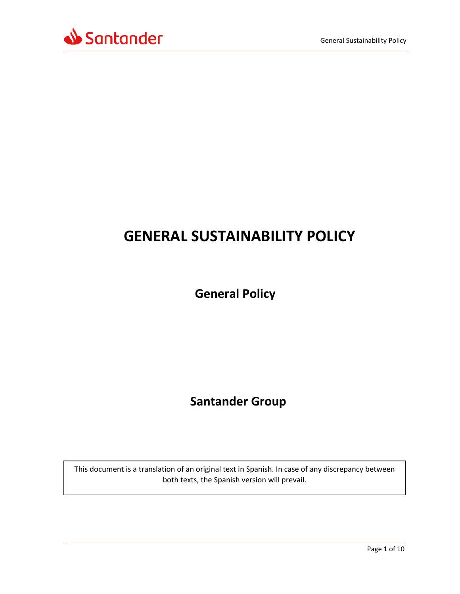

# **GENERAL SUSTAINABILITY POLICY**

**General Policy**

 **Santander Group**

This document is a translation of an original text in Spanish. In case of any discrepancy between both texts, the Spanish version will prevail.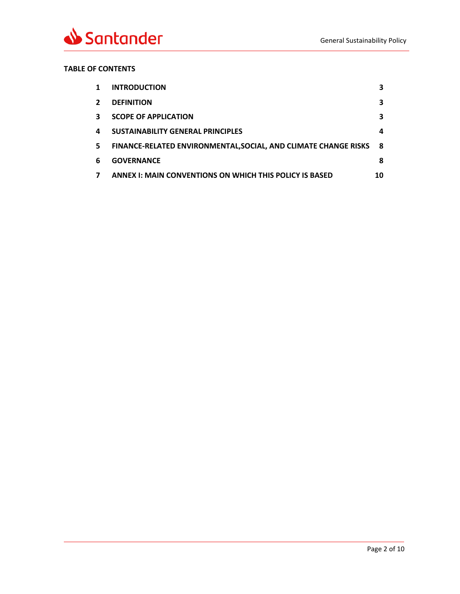

## **TABLE OF CONTENTS**

| 1            | <b>INTRODUCTION</b>                                                    | 3  |
|--------------|------------------------------------------------------------------------|----|
| $\mathbf{2}$ | <b>DEFINITION</b>                                                      | 3  |
| 3            | <b>SCOPE OF APPLICATION</b>                                            | 3  |
| 4            | <b>SUSTAINABILITY GENERAL PRINCIPLES</b>                               | 4  |
| 5.           | <b>FINANCE-RELATED ENVIRONMENTAL, SOCIAL, AND CLIMATE CHANGE RISKS</b> | -8 |
| 6            | <b>GOVERNANCE</b>                                                      | 8  |
| 7            | <b>ANNEX I: MAIN CONVENTIONS ON WHICH THIS POLICY IS BASED</b>         | 10 |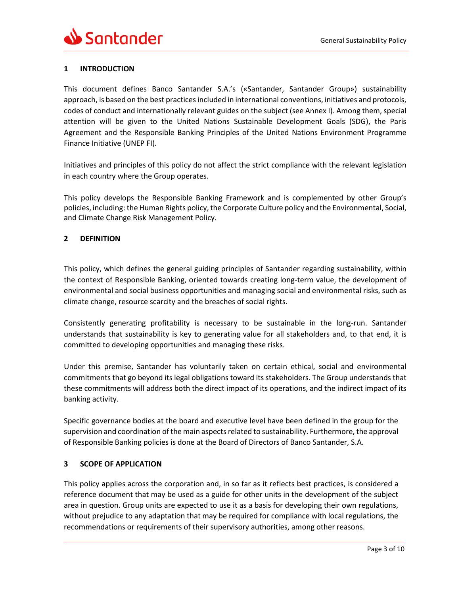# <span id="page-2-0"></span>**1 INTRODUCTION**

This document defines Banco Santander S.A.'s («Santander, Santander Group») sustainability approach, is based on the best practices included in international conventions, initiatives and protocols, codes of conduct and internationally relevant guides on the subject (see Annex I). Among them, special attention will be given to the United Nations Sustainable Development Goals (SDG), the Paris Agreement and the Responsible Banking Principles of the United Nations Environment Programme Finance Initiative (UNEP FI).

Initiatives and principles of this policy do not affect the strict compliance with the relevant legislation in each country where the Group operates.

This policy develops the Responsible Banking Framework and is complemented by other Group's policies, including: the Human Rights policy, the Corporate Culture policy and the Environmental, Social, and Climate Change Risk Management Policy.

### <span id="page-2-1"></span>**2 DEFINITION**

This policy, which defines the general guiding principles of Santander regarding sustainability, within the context of Responsible Banking, oriented towards creating long-term value, the development of environmental and social business opportunities and managing social and environmental risks, such as climate change, resource scarcity and the breaches of social rights.

Consistently generating profitability is necessary to be sustainable in the long-run. Santander understands that sustainability is key to generating value for all stakeholders and, to that end, it is committed to developing opportunities and managing these risks.

Under this premise, Santander has voluntarily taken on certain ethical, social and environmental commitments that go beyond its legal obligations toward its stakeholders. The Group understands that these commitments will address both the direct impact of its operations, and the indirect impact of its banking activity.

Specific governance bodies at the board and executive level have been defined in the group for the supervision and coordination of the main aspects related to sustainability. Furthermore, the approval of Responsible Banking policies is done at the Board of Directors of Banco Santander, S.A.

### <span id="page-2-2"></span>**3 SCOPE OF APPLICATION**

This policy applies across the corporation and, in so far as it reflects best practices, is considered a reference document that may be used as a guide for other units in the development of the subject area in question. Group units are expected to use it as a basis for developing their own regulations, without prejudice to any adaptation that may be required for compliance with local regulations, the recommendations or requirements of their supervisory authorities, among other reasons.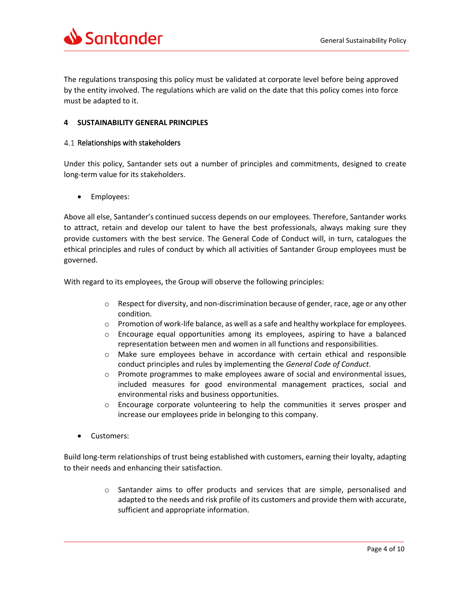

The regulations transposing this policy must be validated at corporate level before being approved by the entity involved. The regulations which are valid on the date that this policy comes into force must be adapted to it.

#### <span id="page-3-0"></span>**4 SUSTAINABILITY GENERAL PRINCIPLES**

#### 4.1 Relationships with stakeholders

Under this policy, Santander sets out a number of principles and commitments, designed to create long-term value for its stakeholders.

• Employees:

Above all else, Santander's continued success depends on our employees. Therefore, Santander works to attract, retain and develop our talent to have the best professionals, always making sure they provide customers with the best service. The General Code of Conduct will, in turn, catalogues the ethical principles and rules of conduct by which all activities of Santander Group employees must be governed.

With regard to its employees, the Group will observe the following principles:

- $\circ$  Respect for diversity, and non-discrimination because of gender, race, age or any other condition.
- $\circ$  Promotion of work-life balance, as well as a safe and healthy workplace for employees.
- $\circ$  Encourage equal opportunities among its employees, aspiring to have a balanced representation between men and women in all functions and responsibilities.
- o Make sure employees behave in accordance with certain ethical and responsible conduct principles and rules by implementing the *General Code of Conduct*.
- o Promote programmes to make employees aware of social and environmental issues, included measures for good environmental management practices, social and environmental risks and business opportunities.
- o Encourage corporate volunteering to help the communities it serves prosper and increase our employees pride in belonging to this company.
- Customers:

Build long-term relationships of trust being established with customers, earning their loyalty, adapting to their needs and enhancing their satisfaction.

> o Santander aims to offer products and services that are simple, personalised and adapted to the needs and risk profile of its customers and provide them with accurate, sufficient and appropriate information.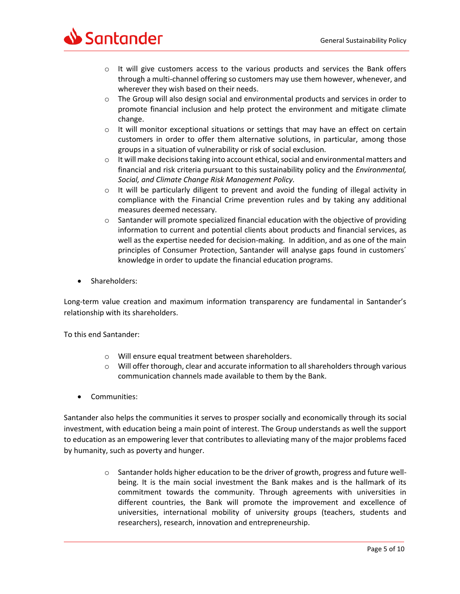

- $\circ$  It will give customers access to the various products and services the Bank offers through a multi-channel offering so customers may use them however, whenever, and wherever they wish based on their needs.
- $\circ$  The Group will also design social and environmental products and services in order to promote financial inclusion and help protect the environment and mitigate climate change.
- o It will monitor exceptional situations or settings that may have an effect on certain customers in order to offer them alternative solutions, in particular, among those groups in a situation of vulnerability or risk of social exclusion.
- $\circ$  It will make decisions taking into account ethical, social and environmental matters and financial and risk criteria pursuant to this sustainability policy and the *Environmental, Social, and Climate Change Risk Management Policy.*
- $\circ$  It will be particularly diligent to prevent and avoid the funding of illegal activity in compliance with the Financial Crime prevention rules and by taking any additional measures deemed necessary.
- $\circ$  Santander will promote specialized financial education with the objective of providing information to current and potential clients about products and financial services, as well as the expertise needed for decision-making. In addition, and as one of the main principles of Consumer Protection, Santander will analyse gaps found in customers´ knowledge in order to update the financial education programs.
- Shareholders:

Long-term value creation and maximum information transparency are fundamental in Santander's relationship with its shareholders.

To this end Santander:

- o Will ensure equal treatment between shareholders.
- $\circ$  Will offer thorough, clear and accurate information to all shareholders through various communication channels made available to them by the Bank.
- Communities:

Santander also helps the communities it serves to prosper socially and economically through its social investment, with education being a main point of interest. The Group understands as well the support to education as an empowering lever that contributes to alleviating many of the major problems faced by humanity, such as poverty and hunger.

> $\circ$  Santander holds higher education to be the driver of growth, progress and future wellbeing. It is the main social investment the Bank makes and is the hallmark of its commitment towards the community. Through agreements with universities in different countries, the Bank will promote the improvement and excellence of universities, international mobility of university groups (teachers, students and researchers), research, innovation and entrepreneurship.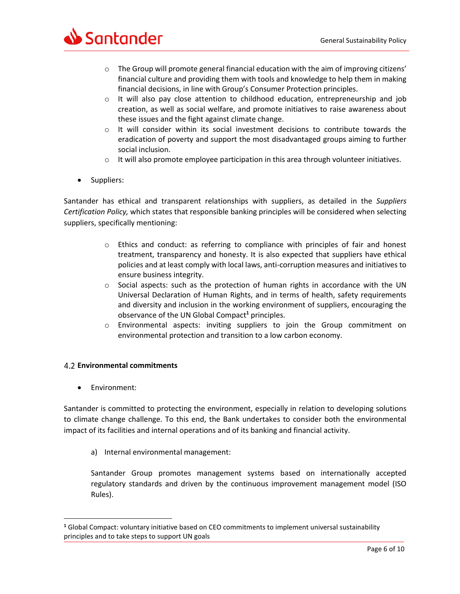

- $\circ$  The Group will promote general financial education with the aim of improving citizens' financial culture and providing them with tools and knowledge to help them in making financial decisions, in line with Group's Consumer Protection principles.
- $\circ$  It will also pay close attention to childhood education, entrepreneurship and job creation, as well as social welfare, and promote initiatives to raise awareness about these issues and the fight against climate change.
- $\circ$  It will consider within its social investment decisions to contribute towards the eradication of poverty and support the most disadvantaged groups aiming to further social inclusion.
- $\circ$  It will also promote employee participation in this area through volunteer initiatives.
- Suppliers:

Santander has ethical and transparent relationships with suppliers, as detailed in the *Suppliers Certification Policy,* which states that responsible banking principles will be considered when selecting suppliers, specifically mentioning:

- $\circ$  Ethics and conduct: as referring to compliance with principles of fair and honest treatment, transparency and honesty. It is also expected that suppliers have ethical policies and at least comply with local laws, anti-corruption measures and initiatives to ensure business integrity.
- $\circ$  Social aspects: such as the protection of human rights in accordance with the UN Universal Declaration of Human Rights, and in terms of health, safety requirements and diversity and inclusion in the working environment of suppliers, encouraging the observance of the UN Global Compact**<sup>1</sup>** principles.
- o Environmental aspects: inviting suppliers to join the Group commitment on environmental protection and transition to a low carbon economy.

### **Environmental commitments**

Environment:

 $\overline{a}$ 

Santander is committed to protecting the environment, especially in relation to developing solutions to climate change challenge. To this end, the Bank undertakes to consider both the environmental impact of its facilities and internal operations and of its banking and financial activity.

a) Internal environmental management:

Santander Group promotes management systems based on internationally accepted regulatory standards and driven by the continuous improvement management model (ISO Rules).

**<sup>1</sup>** Global Compact: voluntary initiative based on CEO commitments to implement universal sustainability principles and to take steps to support UN goals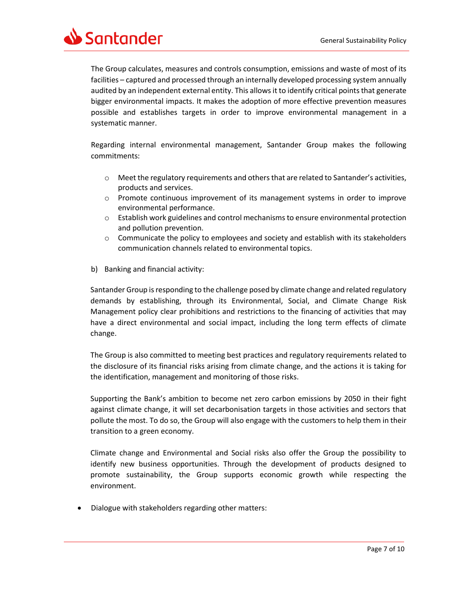Santander

The Group calculates, measures and controls consumption, emissions and waste of most of its facilities – captured and processed through an internally developed processing system annually audited by an independent external entity. This allows it to identify critical points that generate bigger environmental impacts. It makes the adoption of more effective prevention measures possible and establishes targets in order to improve environmental management in a systematic manner.

Regarding internal environmental management, Santander Group makes the following commitments:

- $\circ$  Meet the regulatory requirements and others that are related to Santander's activities, products and services.
- o Promote continuous improvement of its management systems in order to improve environmental performance.
- o Establish work guidelines and control mechanisms to ensure environmental protection and pollution prevention.
- $\circ$  Communicate the policy to employees and society and establish with its stakeholders communication channels related to environmental topics.
- b) Banking and financial activity:

Santander Group is responding to the challenge posed by climate change and related regulatory demands by establishing, through its Environmental, Social, and Climate Change Risk Management policy clear prohibitions and restrictions to the financing of activities that may have a direct environmental and social impact, including the long term effects of climate change.

The Group is also committed to meeting best practices and regulatory requirements related to the disclosure of its financial risks arising from climate change, and the actions it is taking for the identification, management and monitoring of those risks.

Supporting the Bank's ambition to become net zero carbon emissions by 2050 in their fight against climate change, it will set decarbonisation targets in those activities and sectors that pollute the most. To do so, the Group will also engage with the customers to help them in their transition to a green economy.

Climate change and Environmental and Social risks also offer the Group the possibility to identify new business opportunities. Through the development of products designed to promote sustainability, the Group supports economic growth while respecting the environment.

Dialogue with stakeholders regarding other matters: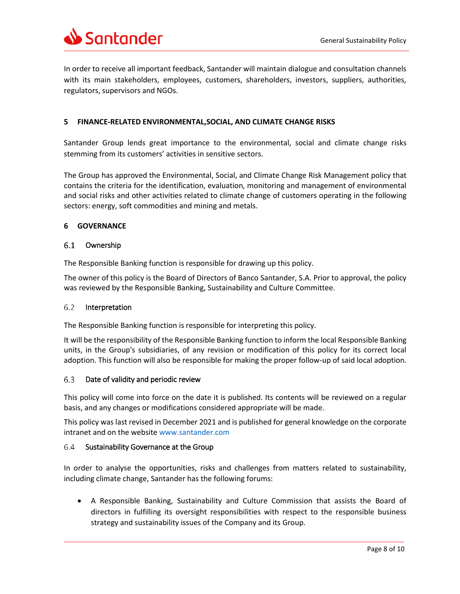

In order to receive all important feedback, Santander will maintain dialogue and consultation channels with its main stakeholders, employees, customers, shareholders, investors, suppliers, authorities, regulators, supervisors and NGOs.

### <span id="page-7-0"></span>**5 FINANCE-RELATED ENVIRONMENTAL,SOCIAL, AND CLIMATE CHANGE RISKS**

Santander Group lends great importance to the environmental, social and climate change risks stemming from its customers' activities in sensitive sectors.

The Group has approved the Environmental, Social, and Climate Change Risk Management policy that contains the criteria for the identification, evaluation, monitoring and management of environmental and social risks and other activities related to climate change of customers operating in the following sectors: energy, soft commodities and mining and metals.

#### <span id="page-7-1"></span>**6 GOVERNANCE**

#### Ownership  $6.1$

The Responsible Banking function is responsible for drawing up this policy.

The owner of this policy is the Board of Directors of Banco Santander, S.A. Prior to approval, the policy was reviewed by the Responsible Banking, Sustainability and Culture Committee.

#### 6.2 Interpretation

The Responsible Banking function is responsible for interpreting this policy.

It will be the responsibility of the Responsible Banking function to inform the local Responsible Banking units, in the Group's subsidiaries, of any revision or modification of this policy for its correct local adoption. This function will also be responsible for making the proper follow-up of said local adoption.

#### 6.3 Date of validity and periodic review

This policy will come into force on the date it is published. Its contents will be reviewed on a regular basis, and any changes or modifications considered appropriate will be made.

This policy was last revised in December 2021 and is published for general knowledge on the corporate intranet and on the website [www.santander.com](http://www.santander.com/)

#### 6.4 Sustainability Governance at the Group

In order to analyse the opportunities, risks and challenges from matters related to sustainability, including climate change, Santander has the following forums:

 A Responsible Banking, Sustainability and Culture Commission that assists the Board of directors in fulfilling its oversight responsibilities with respect to the responsible business strategy and sustainability issues of the Company and its Group.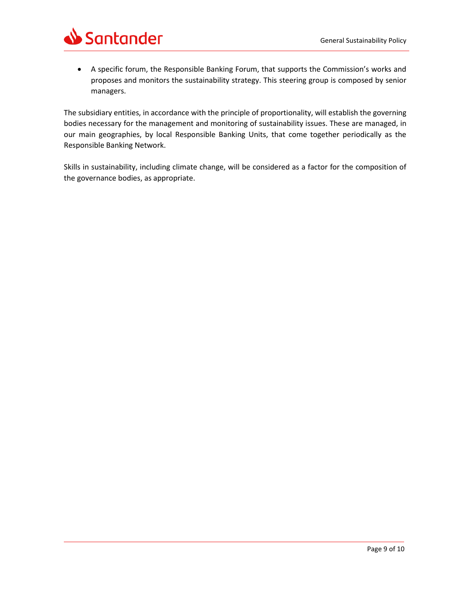

 A specific forum, the Responsible Banking Forum, that supports the Commission's works and proposes and monitors the sustainability strategy. This steering group is composed by senior managers.

The subsidiary entities, in accordance with the principle of proportionality, will establish the governing bodies necessary for the management and monitoring of sustainability issues. These are managed, in our main geographies, by local Responsible Banking Units, that come together periodically as the Responsible Banking Network.

Skills in sustainability, including climate change, will be considered as a factor for the composition of the governance bodies, as appropriate.